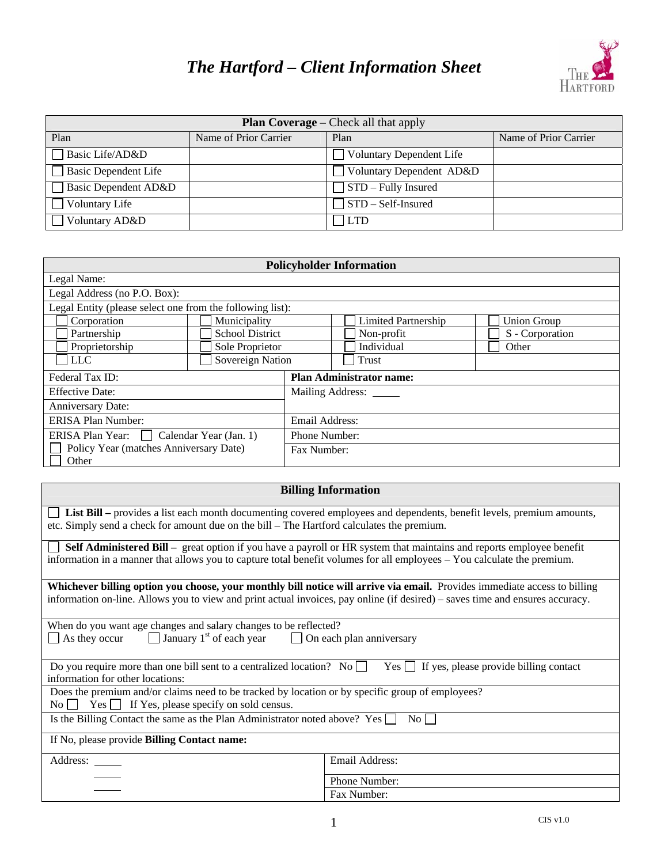## *The Hartford – Client Information Sheet*



| <b>Plan Coverage</b> – Check all that apply |                       |                                 |                       |  |
|---------------------------------------------|-----------------------|---------------------------------|-----------------------|--|
| Plan                                        | Name of Prior Carrier | Plan                            | Name of Prior Carrier |  |
| Basic Life/AD&D                             |                       | <b>Voluntary Dependent Life</b> |                       |  |
| <b>Basic Dependent Life</b>                 |                       | Voluntary Dependent AD&D        |                       |  |
| Basic Dependent AD&D                        |                       | $\Box$ STD – Fully Insured      |                       |  |
| $\Box$ Voluntary Life                       |                       | STD – Self-Insured              |                       |  |
| Voluntary AD&D                              |                       | LTD                             |                       |  |

| <b>Policyholder Information</b>                           |                        |                                 |                            |                    |  |
|-----------------------------------------------------------|------------------------|---------------------------------|----------------------------|--------------------|--|
| Legal Name:                                               |                        |                                 |                            |                    |  |
| Legal Address (no P.O. Box):                              |                        |                                 |                            |                    |  |
| Legal Entity (please select one from the following list): |                        |                                 |                            |                    |  |
| Corporation                                               | Municipality           |                                 | <b>Limited Partnership</b> | <b>Union Group</b> |  |
| Partnership                                               | <b>School District</b> |                                 | Non-profit                 | S - Corporation    |  |
| Proprietorship                                            | Sole Proprietor        |                                 | Individual                 | Other              |  |
| <b>LLC</b>                                                | Sovereign Nation       |                                 | Trust                      |                    |  |
| Federal Tax ID:                                           |                        | <b>Plan Administrator name:</b> |                            |                    |  |
| <b>Effective Date:</b>                                    |                        | Mailing Address:                |                            |                    |  |
| Anniversary Date:                                         |                        |                                 |                            |                    |  |
| <b>ERISA Plan Number:</b>                                 |                        | Email Address:                  |                            |                    |  |
| ERISA Plan Year: Calendar Year (Jan. 1)                   |                        | Phone Number:                   |                            |                    |  |
| Policy Year (matches Anniversary Date)<br>Other           |                        | Fax Number:                     |                            |                    |  |

| <b>Billing Information</b>                                                                                                                                                                                                                                 |                                                                                              |  |  |  |  |
|------------------------------------------------------------------------------------------------------------------------------------------------------------------------------------------------------------------------------------------------------------|----------------------------------------------------------------------------------------------|--|--|--|--|
| List Bill – provides a list each month documenting covered employees and dependents, benefit levels, premium amounts,<br>etc. Simply send a check for amount due on the bill – The Hartford calculates the premium.                                        |                                                                                              |  |  |  |  |
| Self Administered Bill – great option if you have a payroll or HR system that maintains and reports employee benefit<br>information in a manner that allows you to capture total benefit volumes for all employees – You calculate the premium.            |                                                                                              |  |  |  |  |
| Whichever billing option you choose, your monthly bill notice will arrive via email. Provides immediate access to billing<br>information on-line. Allows you to view and print actual invoices, pay online (if desired) – saves time and ensures accuracy. |                                                                                              |  |  |  |  |
| $\Box$ January 1 <sup>st</sup> of each year<br>As they occur                                                                                                                                                                                               | When do you want age changes and salary changes to be reflected?<br>On each plan anniversary |  |  |  |  |
| Do you require more than one bill sent to a centralized location? No $\square$<br>Yes <b>If yes, please provide billing contact</b><br>information for other locations:                                                                                    |                                                                                              |  |  |  |  |
| Does the premium and/or claims need to be tracked by location or by specific group of employees?                                                                                                                                                           |                                                                                              |  |  |  |  |
| Is the Billing Contact the same as the Plan Administrator noted above? Yes $\Box$<br>$\overline{N_0}$                                                                                                                                                      |                                                                                              |  |  |  |  |
| If No, please provide Billing Contact name:                                                                                                                                                                                                                |                                                                                              |  |  |  |  |
| Address: ______                                                                                                                                                                                                                                            | Email Address:                                                                               |  |  |  |  |
|                                                                                                                                                                                                                                                            | Phone Number:                                                                                |  |  |  |  |
|                                                                                                                                                                                                                                                            | Fax Number:                                                                                  |  |  |  |  |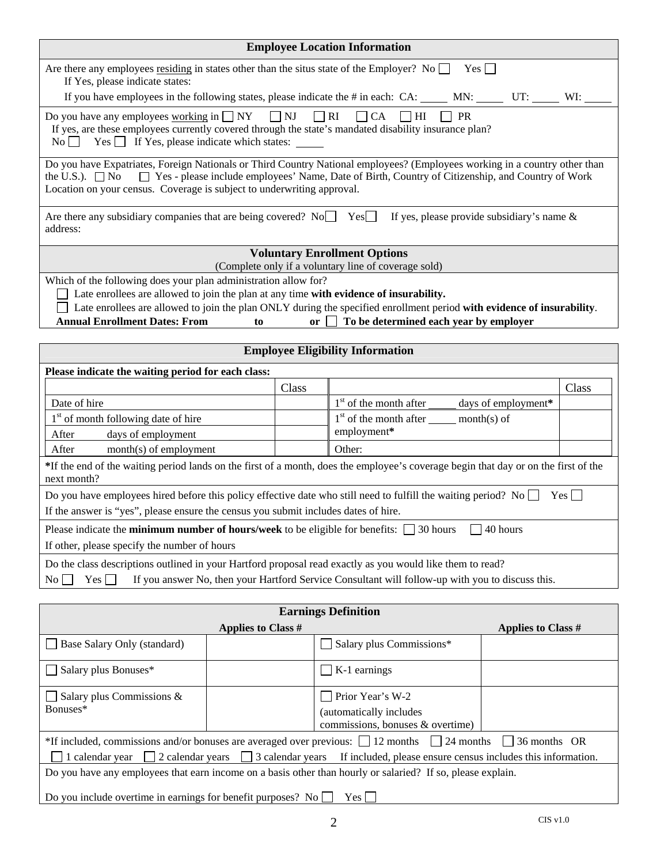| <b>Employee Location Information</b>                                                                                                                                                                                                                |                                                                                                                                                                                                                                                                                                                                       |       |                                                                                                                                                                  |                           |  |
|-----------------------------------------------------------------------------------------------------------------------------------------------------------------------------------------------------------------------------------------------------|---------------------------------------------------------------------------------------------------------------------------------------------------------------------------------------------------------------------------------------------------------------------------------------------------------------------------------------|-------|------------------------------------------------------------------------------------------------------------------------------------------------------------------|---------------------------|--|
| Are there any employees <u>residing</u> in states other than the situs state of the Employer? No $\Box$<br>$Yes \Box$<br>If Yes, please indicate states:                                                                                            |                                                                                                                                                                                                                                                                                                                                       |       |                                                                                                                                                                  |                           |  |
|                                                                                                                                                                                                                                                     | If you have employees in the following states, please indicate the # in each: CA: ______ MN: ______ UT: _____ WI: _                                                                                                                                                                                                                   |       |                                                                                                                                                                  |                           |  |
|                                                                                                                                                                                                                                                     | $\Box$ NJ<br>Do you have any employees working in $\Box$ NY<br>$\Box$ RI<br>$\Box$ CA<br>$\Box$ HI<br><b>PR</b><br>If yes, are these employees currently covered through the state's mandated disability insurance plan?<br>$\begin{array}{ccc}\n\text{No} & \text{Yes} \\ \hline\n\end{array}$ If Yes, please indicate which states: |       |                                                                                                                                                                  |                           |  |
| Do you have Expatriates, Foreign Nationals or Third Country National employees? (Employees working in a country other than<br>the U.S.). $\Box$ No<br>Location on your census. Coverage is subject to underwriting approval.                        |                                                                                                                                                                                                                                                                                                                                       |       | □ Yes - please include employees' Name, Date of Birth, Country of Citizenship, and Country of Work                                                               |                           |  |
| Are there any subsidiary companies that are being covered? No Fesch If yes, please provide subsidiary's name &<br>address:                                                                                                                          |                                                                                                                                                                                                                                                                                                                                       |       |                                                                                                                                                                  |                           |  |
|                                                                                                                                                                                                                                                     |                                                                                                                                                                                                                                                                                                                                       |       | <b>Voluntary Enrollment Options</b>                                                                                                                              |                           |  |
|                                                                                                                                                                                                                                                     |                                                                                                                                                                                                                                                                                                                                       |       | (Complete only if a voluntary line of coverage sold)                                                                                                             |                           |  |
| Which of the following does your plan administration allow for?<br>Late enrollees are allowed to join the plan at any time with evidence of insurability.<br><b>Annual Enrollment Dates: From</b>                                                   | to                                                                                                                                                                                                                                                                                                                                    | or    | Late enrollees are allowed to join the plan ONLY during the specified enrollment period with evidence of insurability.<br>To be determined each year by employer |                           |  |
|                                                                                                                                                                                                                                                     |                                                                                                                                                                                                                                                                                                                                       |       |                                                                                                                                                                  |                           |  |
|                                                                                                                                                                                                                                                     |                                                                                                                                                                                                                                                                                                                                       |       | <b>Employee Eligibility Information</b>                                                                                                                          |                           |  |
| Please indicate the waiting period for each class:                                                                                                                                                                                                  |                                                                                                                                                                                                                                                                                                                                       |       |                                                                                                                                                                  |                           |  |
|                                                                                                                                                                                                                                                     |                                                                                                                                                                                                                                                                                                                                       | Class | Class                                                                                                                                                            |                           |  |
| Date of hire                                                                                                                                                                                                                                        |                                                                                                                                                                                                                                                                                                                                       |       | 1 <sup>st</sup> of the month after ______ days of employment*                                                                                                    |                           |  |
| $1st$ of the month after _______ month(s) of<br>1 <sup>st</sup> of month following date of hire<br>employment*                                                                                                                                      |                                                                                                                                                                                                                                                                                                                                       |       |                                                                                                                                                                  |                           |  |
| days of employment<br>After                                                                                                                                                                                                                         |                                                                                                                                                                                                                                                                                                                                       |       |                                                                                                                                                                  |                           |  |
|                                                                                                                                                                                                                                                     | Other:<br>month(s) of employment<br>After                                                                                                                                                                                                                                                                                             |       |                                                                                                                                                                  |                           |  |
| *If the end of the waiting period lands on the first of a month, does the employee's coverage begin that day or on the first of the<br>next month?                                                                                                  |                                                                                                                                                                                                                                                                                                                                       |       |                                                                                                                                                                  |                           |  |
| Do you have employees hired before this policy effective date who still need to fulfill the waiting period? No $\Box$<br>$Yes \Box$                                                                                                                 |                                                                                                                                                                                                                                                                                                                                       |       |                                                                                                                                                                  |                           |  |
| If the answer is "yes", please ensure the census you submit includes dates of hire.                                                                                                                                                                 |                                                                                                                                                                                                                                                                                                                                       |       |                                                                                                                                                                  |                           |  |
| Please indicate the <b>minimum number of hours/week</b> to be eligible for benefits: $\Box$ 30 hours<br>40 hours<br>If other, please specify the number of hours                                                                                    |                                                                                                                                                                                                                                                                                                                                       |       |                                                                                                                                                                  |                           |  |
| Do the class descriptions outlined in your Hartford proposal read exactly as you would like them to read?<br>If you answer No, then your Hartford Service Consultant will follow-up with you to discuss this.<br>$Yes$ $\Box$<br>$\overline{N_{O}}$ |                                                                                                                                                                                                                                                                                                                                       |       |                                                                                                                                                                  |                           |  |
|                                                                                                                                                                                                                                                     |                                                                                                                                                                                                                                                                                                                                       |       |                                                                                                                                                                  |                           |  |
| <b>Earnings Definition</b>                                                                                                                                                                                                                          |                                                                                                                                                                                                                                                                                                                                       |       |                                                                                                                                                                  |                           |  |
|                                                                                                                                                                                                                                                     | <b>Applies to Class #</b>                                                                                                                                                                                                                                                                                                             |       |                                                                                                                                                                  | <b>Applies to Class #</b> |  |
| Base Salary Only (standard)                                                                                                                                                                                                                         |                                                                                                                                                                                                                                                                                                                                       |       | Salary plus Commissions*                                                                                                                                         |                           |  |
| Salary plus Bonuses*                                                                                                                                                                                                                                |                                                                                                                                                                                                                                                                                                                                       |       | K-1 earnings                                                                                                                                                     |                           |  |
| Salary plus Commissions &                                                                                                                                                                                                                           |                                                                                                                                                                                                                                                                                                                                       |       | Prior Year's W-2                                                                                                                                                 |                           |  |
| Bonuses*                                                                                                                                                                                                                                            |                                                                                                                                                                                                                                                                                                                                       |       | (automatically includes<br>commissions, bonuses & overtime)                                                                                                      |                           |  |

| *If included, commissions and/or bonuses are averaged over previous: $\Box$ 12 months $\Box$ 24 months $\Box$ 36 months OR   |  |  |
|------------------------------------------------------------------------------------------------------------------------------|--|--|
| 1 calendar year $\Box$ 2 calendar years $\Box$ 3 calendar years If included, please ensure census includes this information. |  |  |

Do you have any employees that earn income on a basis other than hourly or salaried? If so, please explain.

Do you include overtime in earnings for benefit purposes? No  $\Box$  Yes  $\Box$